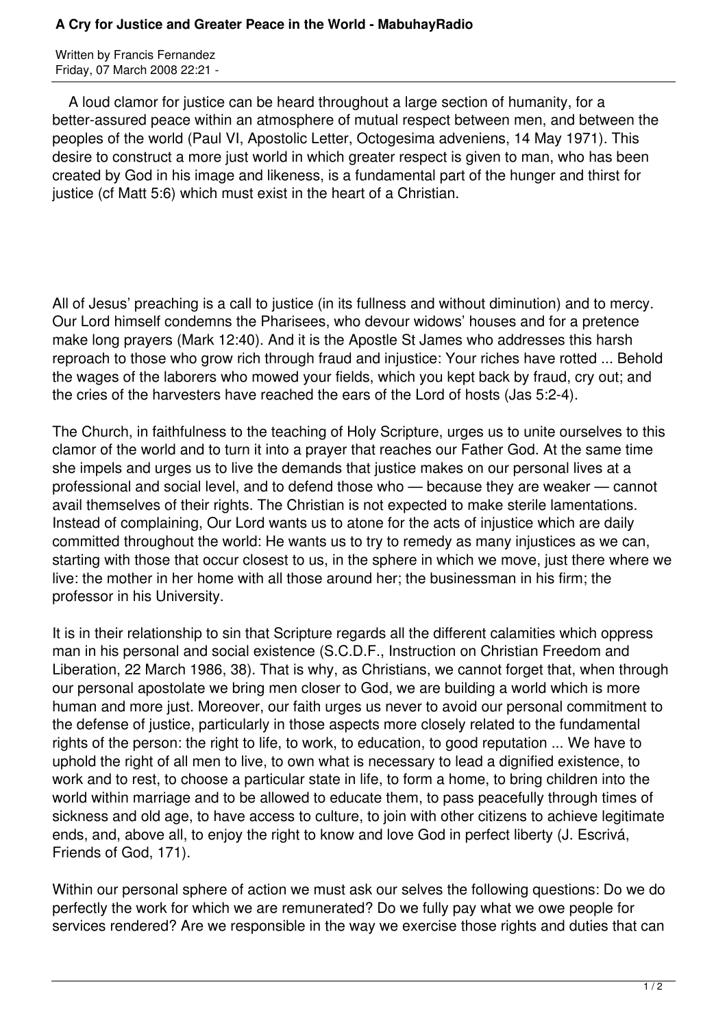## **A Cry for Justice and Greater Peace in the World - MabuhayRadio**

Written by Francis Fernandez Friday, 07 March 2008 22:21 -

 A loud clamor for justice can be heard throughout a large section of humanity, for a better-assured peace within an atmosphere of mutual respect between men, and between the peoples of the world (Paul VI, Apostolic Letter, Octogesima adveniens, 14 May 1971). This desire to construct a more just world in which greater respect is given to man, who has been created by God in his image and likeness, is a fundamental part of the hunger and thirst for justice (cf Matt 5:6) which must exist in the heart of a Christian.

All of Jesus' preaching is a call to justice (in its fullness and without diminution) and to mercy. Our Lord himself condemns the Pharisees, who devour widows' houses and for a pretence make long prayers (Mark 12:40). And it is the Apostle St James who addresses this harsh reproach to those who grow rich through fraud and injustice: Your riches have rotted ... Behold the wages of the laborers who mowed your fields, which you kept back by fraud, cry out; and the cries of the harvesters have reached the ears of the Lord of hosts (Jas 5:2-4).

The Church, in faithfulness to the teaching of Holy Scripture, urges us to unite ourselves to this clamor of the world and to turn it into a prayer that reaches our Father God. At the same time she impels and urges us to live the demands that justice makes on our personal lives at a professional and social level, and to defend those who — because they are weaker — cannot avail themselves of their rights. The Christian is not expected to make sterile lamentations. Instead of complaining, Our Lord wants us to atone for the acts of injustice which are daily committed throughout the world: He wants us to try to remedy as many injustices as we can, starting with those that occur closest to us, in the sphere in which we move, just there where we live: the mother in her home with all those around her; the businessman in his firm; the professor in his University.

It is in their relationship to sin that Scripture regards all the different calamities which oppress man in his personal and social existence (S.C.D.F., Instruction on Christian Freedom and Liberation, 22 March 1986, 38). That is why, as Christians, we cannot forget that, when through our personal apostolate we bring men closer to God, we are building a world which is more human and more just. Moreover, our faith urges us never to avoid our personal commitment to the defense of justice, particularly in those aspects more closely related to the fundamental rights of the person: the right to life, to work, to education, to good reputation ... We have to uphold the right of all men to live, to own what is necessary to lead a dignified existence, to work and to rest, to choose a particular state in life, to form a home, to bring children into the world within marriage and to be allowed to educate them, to pass peacefully through times of sickness and old age, to have access to culture, to join with other citizens to achieve legitimate ends, and, above all, to enjoy the right to know and love God in perfect liberty (J. Escrivá, Friends of God, 171).

Within our personal sphere of action we must ask our selves the following questions: Do we do perfectly the work for which we are remunerated? Do we fully pay what we owe people for services rendered? Are we responsible in the way we exercise those rights and duties that can